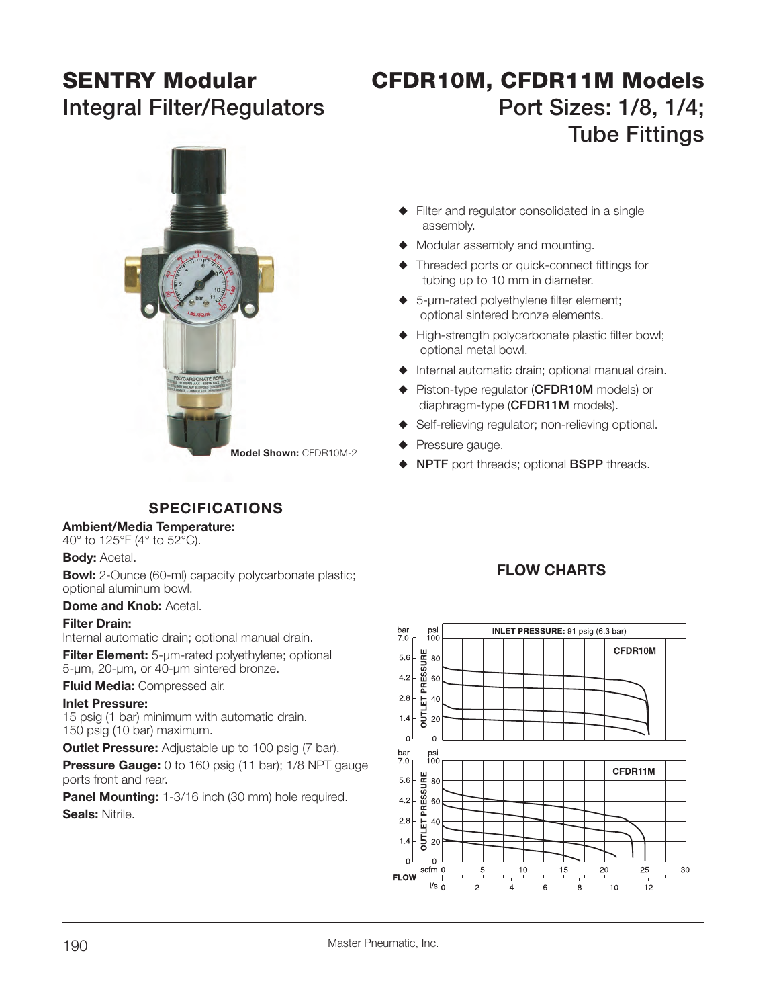# **SENTRY Modular**

# **CFDR10M, CFDR11M Models** Integral Filter/Regulators **Port Sizes: 1/8, 1/4**;  **Tube Fittings**

 $\blacklozenge$  Filter and regulator consolidated in a single

 $\blacklozenge$  Threaded ports or quick-connect fittings for tubing up to 10 mm in diameter.  $\triangle$  5-um-rated polyethylene filter element; optional sintered bronze elements.

 $\blacklozenge$  High-strength polycarbonate plastic filter bowl;

 $\blacklozenge$  Internal automatic drain; optional manual drain. ◆ Piston-type regulator (CFDR10M models) or diaphragm-type (**CFDR11M** models).  $\blacklozenge$  Self-relieving regulator; non-relieving optional.

◆ NPTF port threads; optional BSPP threads.

 $\blacklozenge$  Modular assembly and mounting.

optional metal bowl.

 $\blacklozenge$  Pressure gauge.

assembly.



## **SPECIFICATIONS**

#### **Ambient/Media Temperature:**

40° to 125°F (4° to 52°C).

**Body:** Acetal.

**Bowl:** 2-Ounce (60-ml) capacity polycarbonate plastic; optional aluminum bowl.

#### **Dome and Knob: Acetal.**

#### **Filter Drain:**

Internal automatic drain; optional manual drain.

**Filter Element:** 5-µm-rated polyethylene; optional 5-µm, 20-µm, or 40-µm sintered bronze.

**Fluid Media:** Compressed air.

#### **Inlet Pressure:**

 15 psig (1 bar) minimum with automatic drain. 150 psig (10 bar) maximum.

**Outlet Pressure:** Adjustable up to 100 psig (7 bar).

**Pressure Gauge:** 0 to 160 psig (11 bar); 1/8 NPT gauge ports front and rear.

**Panel Mounting:** 1-3/16 inch (30 mm) hole required. **Seals:** Nitrile.

### **FLOW CHARTS**